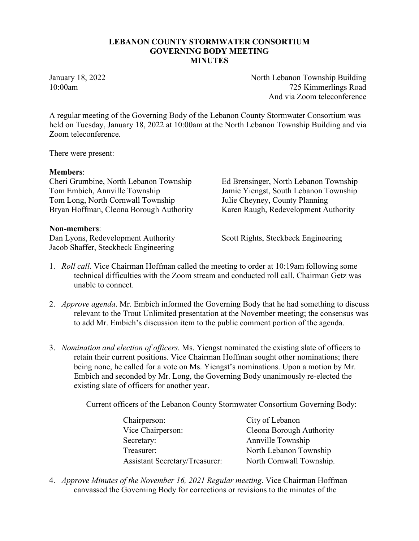## LEBANON COUNTY STORMWATER CONSORTIUM GOVERNING BODY MEETING MINUTES

January 18, 2022 Vorth Lebanon Township Building 10:00am 725 Kimmerlings Road And via Zoom teleconference

A regular meeting of the Governing Body of the Lebanon County Stormwater Consortium was held on Tuesday, January 18, 2022 at 10:00am at the North Lebanon Township Building and via Zoom teleconference.

There were present:

## Members:

Cheri Grumbine, North Lebanon Township Ed Brensinger, North Lebanon Township Tom Embich, Annville Township Jamie Yiengst, South Lebanon Township<br>
Tom Long, North Cornwall Township Julie Cheyney, County Planning Tom Long, North Cornwall Township Bryan Hoffman, Cleona Borough Authority Karen Raugh, Redevelopment Authority

## Non-members:

Dan Lyons, Redevelopment Authority Scott Rights, Steckbeck Engineering Jacob Shaffer, Steckbeck Engineering

- 1. *Roll call*. Vice Chairman Hoffman called the meeting to order at 10:19am following some technical difficulties with the Zoom stream and conducted roll call. Chairman Getz was unable to connect.
- 2. *Approve agenda*. Mr. Embich informed the Governing Body that he had something to discuss relevant to the Trout Unlimited presentation at the November meeting; the consensus was to add Mr. Embich's discussion item to the public comment portion of the agenda.
- 3. *Nomination and election of officers.* Ms. Yiengst nominated the existing slate of officers to retain their current positions. Vice Chairman Hoffman sought other nominations; there being none, he called for a vote on Ms. Yiengst's nominations. Upon a motion by Mr. Embich and seconded by Mr. Long, the Governing Body unanimously re-elected the existing slate of officers for another year.

Current officers of the Lebanon County Stormwater Consortium Governing Body:

| Chairperson:                          | City of Lebanon          |
|---------------------------------------|--------------------------|
| Vice Chairperson:                     | Cleona Borough Authority |
| Secretary:                            | Annville Township        |
| Treasurer:                            | North Lebanon Township   |
| <b>Assistant Secretary/Treasurer:</b> | North Cornwall Township. |

4. *Approve Minutes of the November 16, 2021 Regular meeting*. Vice Chairman Hoffman canvassed the Governing Body for corrections or revisions to the minutes of the